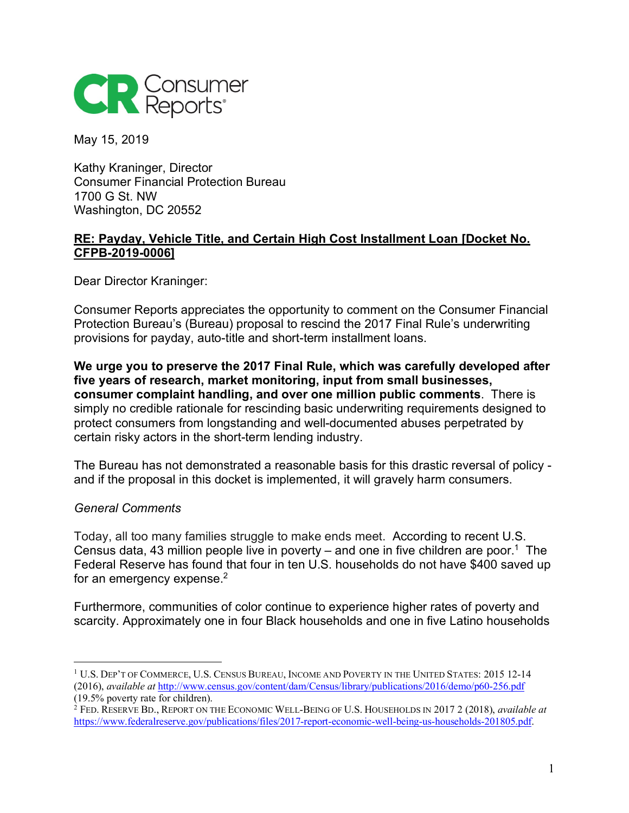

May 15, 2019

Kathy Kraninger, Director Consumer Financial Protection Bureau 1700 G St. NW Washington, DC 20552

## **RE: Payday, Vehicle Title, and Certain High Cost Installment Loan [Docket No. CFPB-2019-0006]**

Dear Director Kraninger:

Consumer Reports appreciates the opportunity to comment on the Consumer Financial Protection Bureau's (Bureau) proposal to rescind the 2017 Final Rule's underwriting provisions for payday, auto-title and short-term installment loans.

**We urge you to preserve the 2017 Final Rule, which was carefully developed after five years of research, market monitoring, input from small businesses, consumer complaint handling, and over one million public comments**. There is simply no credible rationale for rescinding basic underwriting requirements designed to protect consumers from longstanding and well-documented abuses perpetrated by certain risky actors in the short-term lending industry.

The Bureau has not demonstrated a reasonable basis for this drastic reversal of policy and if the proposal in this docket is implemented, it will gravely harm consumers.

## *General Comments*

 $\overline{a}$ 

Today, all too many families struggle to make ends meet. According to recent U.S. Census data, 43 million people live in poverty – and one in five children are poor.<sup>1</sup> The Federal Reserve has found that four in ten U.S. households do not have \$400 saved up for an emergency expense. $2$ 

Furthermore, communities of color continue to experience higher rates of poverty and scarcity. Approximately one in four Black households and one in five Latino households

<sup>1</sup> U.S. DEP'T OF COMMERCE, U.S. CENSUS BUREAU, INCOME AND POVERTY IN THE UNITED STATES: 2015 12-14 (2016), *available at* http://www.census.gov/content/dam/Census/library/publications/2016/demo/p60-256.pdf (19.5% poverty rate for children).

<sup>2</sup> FED. RESERVE BD., REPORT ON THE ECONOMIC WELL-BEING OF U.S. HOUSEHOLDS IN 2017 2 (2018), *available at* https://www.federalreserve.gov/publications/files/2017-report-economic-well-being-us-households-201805.pdf.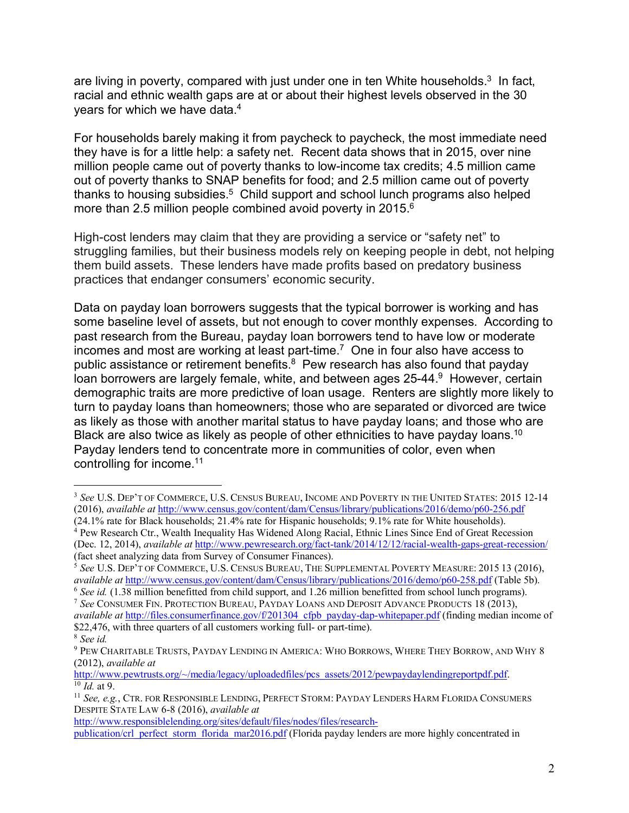are living in poverty, compared with just under one in ten White households. $3$  In fact, racial and ethnic wealth gaps are at or about their highest levels observed in the 30 years for which we have data.4

For households barely making it from paycheck to paycheck, the most immediate need they have is for a little help: a safety net. Recent data shows that in 2015, over nine million people came out of poverty thanks to low-income tax credits; 4.5 million came out of poverty thanks to SNAP benefits for food; and 2.5 million came out of poverty thanks to housing subsidies.<sup>5</sup> Child support and school lunch programs also helped more than 2.5 million people combined avoid poverty in 2015.<sup>6</sup>

High-cost lenders may claim that they are providing a service or "safety net" to struggling families, but their business models rely on keeping people in debt, not helping them build assets. These lenders have made profits based on predatory business practices that endanger consumers' economic security.

Data on payday loan borrowers suggests that the typical borrower is working and has some baseline level of assets, but not enough to cover monthly expenses. According to past research from the Bureau, payday loan borrowers tend to have low or moderate incomes and most are working at least part-time.<sup>7</sup> One in four also have access to public assistance or retirement benefits.<sup>8</sup> Pew research has also found that payday loan borrowers are largely female, white, and between ages 25-44.<sup>9</sup> However, certain demographic traits are more predictive of loan usage. Renters are slightly more likely to turn to payday loans than homeowners; those who are separated or divorced are twice as likely as those with another marital status to have payday loans; and those who are Black are also twice as likely as people of other ethnicities to have payday loans.<sup>10</sup> Payday lenders tend to concentrate more in communities of color, even when controlling for income.11

 $\overline{a}$ 

http://www.responsiblelending.org/sites/default/files/nodes/files/research-

<sup>3</sup> *See* U.S. DEP'T OF COMMERCE, U.S. CENSUS BUREAU, INCOME AND POVERTY IN THE UNITED STATES: 2015 12-14 (2016), *available at* http://www.census.gov/content/dam/Census/library/publications/2016/demo/p60-256.pdf (24.1% rate for Black households; 21.4% rate for Hispanic households; 9.1% rate for White households).

<sup>4</sup> Pew Research Ctr., Wealth Inequality Has Widened Along Racial, Ethnic Lines Since End of Great Recession (Dec. 12, 2014), *available at* http://www.pewresearch.org/fact-tank/2014/12/12/racial-wealth-gaps-great-recession/

<sup>(</sup>fact sheet analyzing data from Survey of Consumer Finances). 5 *See* U.S. DEP'T OF COMMERCE, U.S. CENSUS BUREAU, THE SUPPLEMENTAL POVERTY MEASURE: <sup>2015</sup> 13 (2016), *available at* http://www.census.gov/content/dam/Census/library/publications/2016/demo/p60-258.pdf (Table 5b).

<sup>6</sup> *See id.* (1.38 million benefitted from child support, and 1.26 million benefitted from school lunch programs). <sup>7</sup> *See* CONSUMER FIN. PROTECTION BUREAU, PAYDAY LOANS AND DEPOSIT ADVANCE PRODUCTS 18 (2013), *available at* http://files.consumerfinance.gov/f/201304\_cfpb\_payday-dap-whitepaper.pdf (finding median income of \$22,476, with three quarters of all customers working full- or part-time). 8 *See id.*

<sup>9</sup> PEW CHARITABLE TRUSTS, PAYDAY LENDING IN AMERICA: WHO BORROWS, WHERE THEY BORROW, AND WHY 8 (2012), *available at*

http://www.pewtrusts.org/~/media/legacy/uploadedfiles/pcs\_assets/2012/pewpaydaylendingreportpdf.pdf. 10 *Id.* at 9.

<sup>11</sup> *See, e.g.*, CTR. FOR RESPONSIBLE LENDING, PERFECT STORM: PAYDAY LENDERS HARM FLORIDA CONSUMERS DESPITE STATE LAW 6-8 (2016), *available at*

publication/crl\_perfect\_storm\_florida\_mar2016.pdf (Florida payday lenders are more highly concentrated in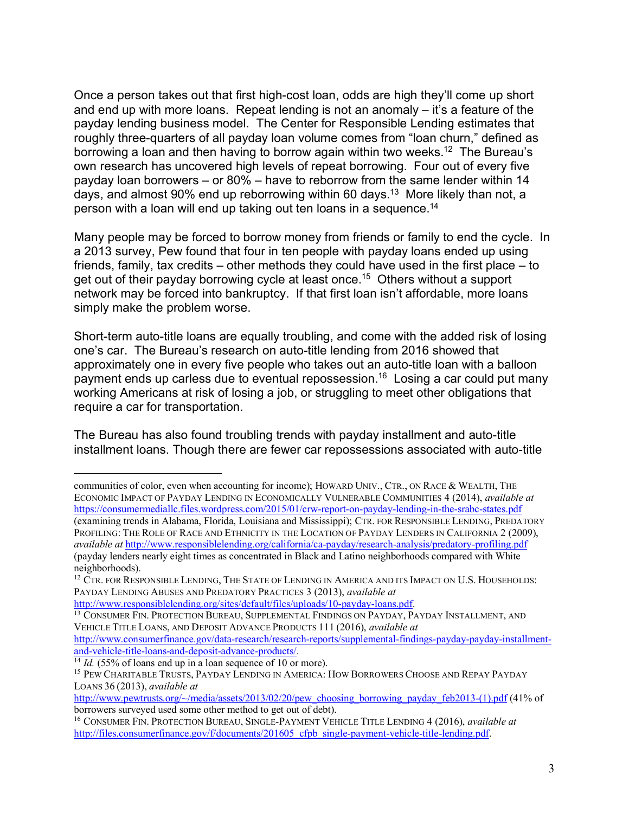Once a person takes out that first high-cost loan, odds are high they'll come up short and end up with more loans. Repeat lending is not an anomaly – it's a feature of the payday lending business model. The Center for Responsible Lending estimates that roughly three-quarters of all payday loan volume comes from "loan churn," defined as borrowing a loan and then having to borrow again within two weeks.<sup>12</sup> The Bureau's own research has uncovered high levels of repeat borrowing. Four out of every five payday loan borrowers – or 80% – have to reborrow from the same lender within 14 days, and almost 90% end up reborrowing within 60 days.13 More likely than not, a person with a loan will end up taking out ten loans in a sequence.14

Many people may be forced to borrow money from friends or family to end the cycle. In a 2013 survey, Pew found that four in ten people with payday loans ended up using friends, family, tax credits – other methods they could have used in the first place – to get out of their payday borrowing cycle at least once.15 Others without a support network may be forced into bankruptcy. If that first loan isn't affordable, more loans simply make the problem worse.

Short-term auto-title loans are equally troubling, and come with the added risk of losing one's car. The Bureau's research on auto-title lending from 2016 showed that approximately one in every five people who takes out an auto-title loan with a balloon payment ends up carless due to eventual repossession.<sup>16</sup> Losing a car could put many working Americans at risk of losing a job, or struggling to meet other obligations that require a car for transportation.

The Bureau has also found troubling trends with payday installment and auto-title installment loans. Though there are fewer car repossessions associated with auto-title

 $\overline{a}$ 

communities of color, even when accounting for income); HOWARD UNIV., CTR., ON RACE & WEALTH, THE ECONOMIC IMPACT OF PAYDAY LENDING IN ECONOMICALLY VULNERABLE COMMUNITIES 4 (2014), *available at* https://consumermediallc.files.wordpress.com/2015/01/crw-report-on-payday-lending-in-the-srabc-states.pdf (examining trends in Alabama, Florida, Louisiana and Mississippi); CTR. FOR RESPONSIBLE LENDING, PREDATORY PROFILING: THE ROLE OF RACE AND ETHNICITY IN THE LOCATION OF PAYDAY LENDERS IN CALIFORNIA 2 (2009), *available at* http://www.responsiblelending.org/california/ca-payday/research-analysis/predatory-profiling.pdf (payday lenders nearly eight times as concentrated in Black and Latino neighborhoods compared with White neighborhoods).

<sup>&</sup>lt;sup>12</sup> CTR. FOR RESPONSIBLE LENDING, THE STATE OF LENDING IN AMERICA AND ITS IMPACT ON U.S. HOUSEHOLDS: PAYDAY LENDING ABUSES AND PREDATORY PRACTICES 3 (2013), *available at*

http://www.responsiblelending.org/sites/default/files/uploads/10-payday-loans.pdf.<br><sup>13</sup> CONSUMER FIN. PROTECTION BUREAU, SUPPLEMENTAL FINDINGS ON PAYDAY, PAYDAY INSTALLMENT, AND VEHICLE TITLE LOANS, AND DEPOSIT ADVANCE PRODUCTS 111 (2016), *available at* 

http://www.consumerfinance.gov/data-research/research-reports/supplemental-findings-payday-payday-installmentand-vehicle-title-loans-and-deposit-advance-products/.

 $\frac{14}{14}$  *Id.* (55% of loans end up in a loan sequence of 10 or more).

<sup>15</sup> PEW CHARITABLE TRUSTS, PAYDAY LENDING IN AMERICA: HOW BORROWERS CHOOSE AND REPAY PAYDAY LOANS 36 (2013), *available at*

http://www.pewtrusts.org/~/media/assets/2013/02/20/pew\_choosing\_borrowing\_payday\_feb2013-(1).pdf (41% of borrowers surveyed used some other method to get out of debt).

<sup>16</sup> CONSUMER FIN. PROTECTION BUREAU, SINGLE-PAYMENT VEHICLE TITLE LENDING 4 (2016), *available at*  http://files.consumerfinance.gov/f/documents/201605\_cfpb\_single-payment-vehicle-title-lending.pdf.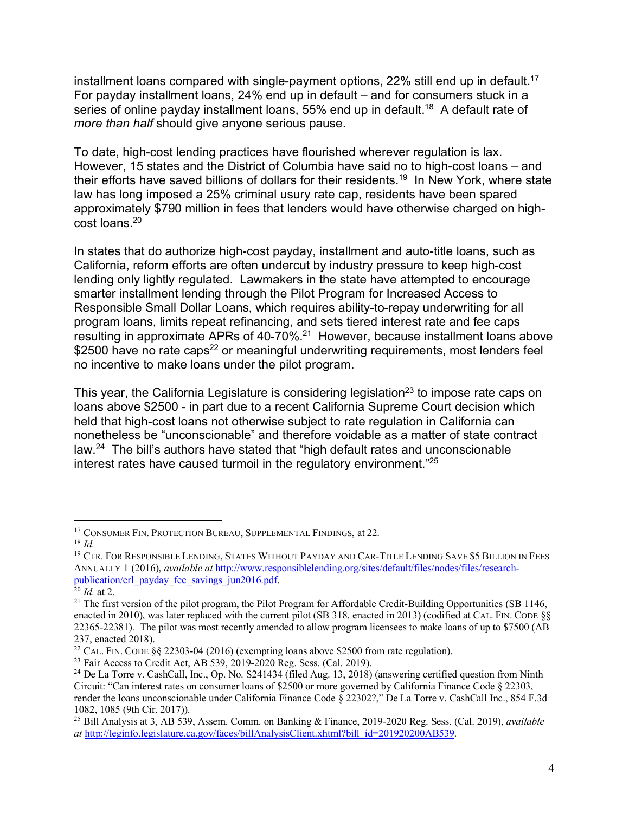installment loans compared with single-payment options,  $22\%$  still end up in default.<sup>17</sup> For payday installment loans, 24% end up in default – and for consumers stuck in a series of online payday installment loans, 55% end up in default.<sup>18</sup> A default rate of *more than half* should give anyone serious pause.

To date, high-cost lending practices have flourished wherever regulation is lax. However, 15 states and the District of Columbia have said no to high-cost loans – and their efforts have saved billions of dollars for their residents.<sup>19</sup> In New York, where state law has long imposed a 25% criminal usury rate cap, residents have been spared approximately \$790 million in fees that lenders would have otherwise charged on highcost loans.20

In states that do authorize high-cost payday, installment and auto-title loans, such as California, reform efforts are often undercut by industry pressure to keep high-cost lending only lightly regulated. Lawmakers in the state have attempted to encourage smarter installment lending through the Pilot Program for Increased Access to Responsible Small Dollar Loans, which requires ability-to-repay underwriting for all program loans, limits repeat refinancing, and sets tiered interest rate and fee caps resulting in approximate APRs of 40-70%.21 However, because installment loans above \$2500 have no rate caps<sup>22</sup> or meaningful underwriting requirements, most lenders feel no incentive to make loans under the pilot program.

This year, the California Legislature is considering legislation<sup>23</sup> to impose rate caps on loans above \$2500 - in part due to a recent California Supreme Court decision which held that high-cost loans not otherwise subject to rate regulation in California can nonetheless be "unconscionable" and therefore voidable as a matter of state contract law.24 The bill's authors have stated that "high default rates and unconscionable interest rates have caused turmoil in the regulatory environment."25

 $\overline{a}$ <sup>17</sup> CONSUMER FIN. PROTECTION BUREAU, SUPPLEMENTAL FINDINGS, at 22.

 $18$  *Id.* 

<sup>19</sup> CTR. FOR RESPONSIBLE LENDING, STATES WITHOUT PAYDAY AND CAR-TITLE LENDING SAVE \$5 BILLION IN FEES ANNUALLY 1 (2016), *available at* http://www.responsiblelending.org/sites/default/files/nodes/files/researchpublication/crl\_payday\_fee\_savings\_jun2016.pdf.

<sup>20</sup> *Id.* at 2.

<sup>&</sup>lt;sup>21</sup> The first version of the pilot program, the Pilot Program for Affordable Credit-Building Opportunities (SB 1146, enacted in 2010), was later replaced with the current pilot (SB 318, enacted in 2013) (codified at CAL. FIN. CODE  $\$ 22365-22381). The pilot was most recently amended to allow program licensees to make loans of up to \$7500 (AB 237, enacted 2018).

 $22$  CAL. FIN. CODE §§ 22303-04 (2016) (exempting loans above \$2500 from rate regulation).

<sup>&</sup>lt;sup>23</sup> Fair Access to Credit Act, AB 539, 2019-2020 Reg. Sess. (Cal. 2019).

<sup>&</sup>lt;sup>24</sup> De La Torre v. CashCall, Inc., Op. No. S241434 (filed Aug. 13, 2018) (answering certified question from Ninth Circuit: "Can interest rates on consumer loans of \$2500 or more governed by California Finance Code § 22303, render the loans unconscionable under California Finance Code § 22302?," De La Torre v. CashCall Inc., 854 F.3d 1082, 1085 (9th Cir. 2017)).

<sup>25</sup> Bill Analysis at 3, AB 539, Assem. Comm. on Banking & Finance, 2019-2020 Reg. Sess. (Cal. 2019), *available at* http://leginfo.legislature.ca.gov/faces/billAnalysisClient.xhtml?bill\_id=201920200AB539.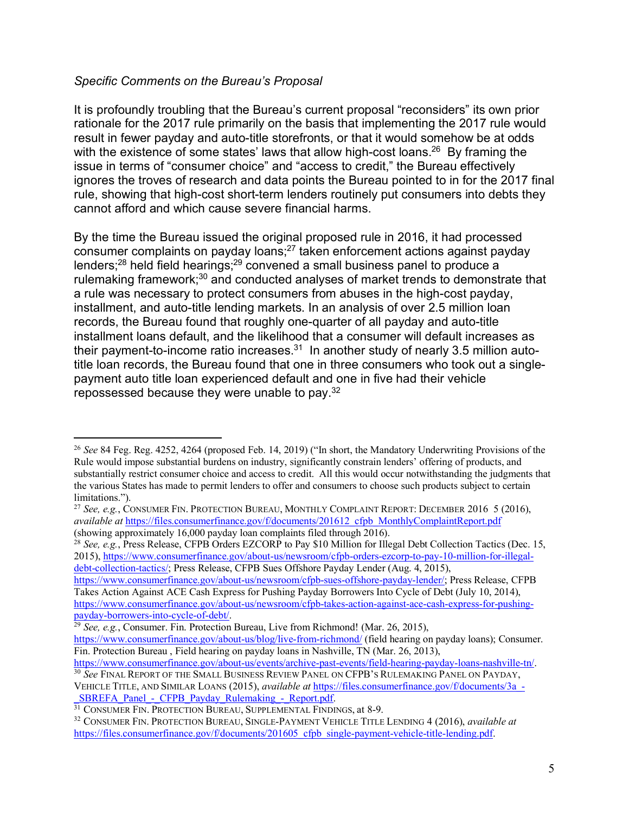## *Specific Comments on the Bureau's Proposal*

 $\overline{a}$ 

It is profoundly troubling that the Bureau's current proposal "reconsiders" its own prior rationale for the 2017 rule primarily on the basis that implementing the 2017 rule would result in fewer payday and auto-title storefronts, or that it would somehow be at odds with the existence of some states' laws that allow high-cost loans.<sup>26</sup> By framing the issue in terms of "consumer choice" and "access to credit," the Bureau effectively ignores the troves of research and data points the Bureau pointed to in for the 2017 final rule, showing that high-cost short-term lenders routinely put consumers into debts they cannot afford and which cause severe financial harms.

By the time the Bureau issued the original proposed rule in 2016, it had processed consumer complaints on payday loans; <sup>27</sup> taken enforcement actions against payday lenders;28 held field hearings;29 convened a small business panel to produce a rulemaking framework;<sup>30</sup> and conducted analyses of market trends to demonstrate that a rule was necessary to protect consumers from abuses in the high-cost payday, installment, and auto-title lending markets. In an analysis of over 2.5 million loan records, the Bureau found that roughly one-quarter of all payday and auto-title installment loans default, and the likelihood that a consumer will default increases as their payment-to-income ratio increases. $31$  In another study of nearly 3.5 million autotitle loan records, the Bureau found that one in three consumers who took out a singlepayment auto title loan experienced default and one in five had their vehicle repossessed because they were unable to pay.32

https://www.consumerfinance.gov/about-us/newsroom/cfpb-sues-offshore-payday-lender/; Press Release, CFPB Takes Action Against ACE Cash Express for Pushing Payday Borrowers Into Cycle of Debt (July 10, 2014), https://www.consumerfinance.gov/about-us/newsroom/cfpb-takes-action-against-ace-cash-express-for-pushingpayday-borrowers-into-cycle-of-debt/.

<sup>26</sup> *See* 84 Feg. Reg. 4252, 4264 (proposed Feb. 14, 2019) ("In short, the Mandatory Underwriting Provisions of the Rule would impose substantial burdens on industry, significantly constrain lenders' offering of products, and substantially restrict consumer choice and access to credit. All this would occur notwithstanding the judgments that the various States has made to permit lenders to offer and consumers to choose such products subject to certain limitations.").

<sup>27</sup> *See, e.g.*, CONSUMER FIN. PROTECTION BUREAU, MONTHLY COMPLAINT REPORT: DECEMBER 2016 5 (2016), *available at* https://files.consumerfinance.gov/f/documents/201612\_cfpb\_MonthlyComplaintReport.pdf (showing approximately 16,000 payday loan complaints filed through 2016).

<sup>&</sup>lt;sup>28</sup> *See, e.g.*, Press Release, CFPB Orders EZCORP to Pay \$10 Million for Illegal Debt Collection Tactics (Dec. 15, 2015), https://www.consumerfinance.gov/about-us/newsroom/cfpb-orders-ezcorp-to-pay-10-million-for-illegaldebt-collection-tactics/; Press Release, CFPB Sues Offshore Payday Lender (Aug. 4, 2015),

<sup>29</sup> *See, e.g.*, Consumer. Fin. Protection Bureau, Live from Richmond! (Mar. 26, 2015),

https://www.consumerfinance.gov/about-us/blog/live-from-richmond/ (field hearing on payday loans); Consumer. Fin. Protection Bureau , Field hearing on payday loans in Nashville, TN (Mar. 26, 2013),

https://www.consumerfinance.gov/about-us/events/archive-past-events/field-hearing-payday-loans-nashville-tn/. <sup>30</sup> *See* FINAL REPORT OF THE SMALL BUSINESS REVIEW PANEL ON CFPB'S RULEMAKING PANEL ON PAYDAY,

VEHICLE TITLE, AND SIMILAR LOANS (2015), *available at* https://files.consumerfinance.gov/f/documents/3a\_- SBREFA\_Panel - CFPB\_Payday\_Rulemaking\_-\_Report.pdf.

<sup>&</sup>lt;sup>31</sup> CONSUMER FIN. PROTECTION BUREAU, SUPPLEMENTAL FINDINGS, at 8-9.

<sup>32</sup> CONSUMER FIN. PROTECTION BUREAU, SINGLE-PAYMENT VEHICLE TITLE LENDING 4 (2016), *available at* https://files.consumerfinance.gov/f/documents/201605\_cfpb\_single-payment-vehicle-title-lending.pdf.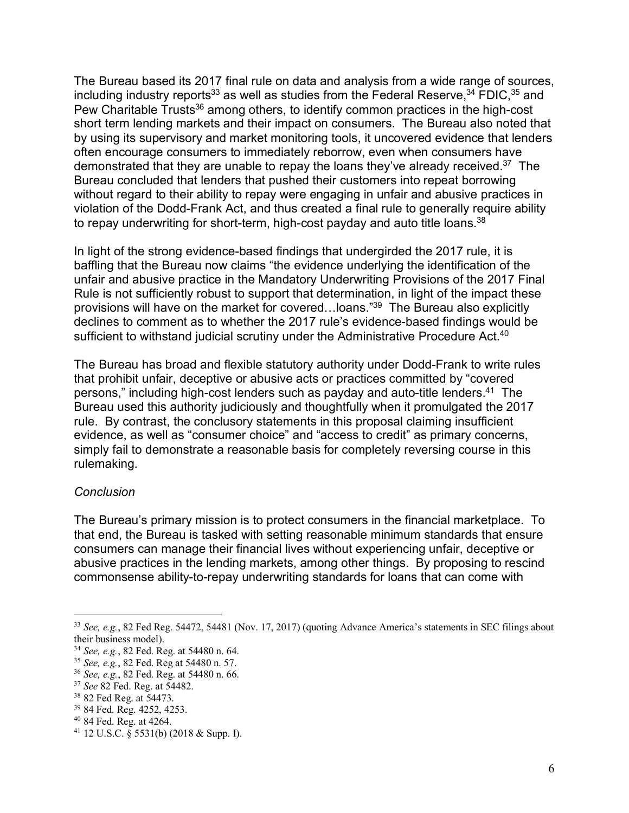The Bureau based its 2017 final rule on data and analysis from a wide range of sources, including industry reports<sup>33</sup> as well as studies from the Federal Reserve,  $34$  FDIC,  $35$  and Pew Charitable Trusts<sup>36</sup> among others, to identify common practices in the high-cost short term lending markets and their impact on consumers. The Bureau also noted that by using its supervisory and market monitoring tools, it uncovered evidence that lenders often encourage consumers to immediately reborrow, even when consumers have demonstrated that they are unable to repay the loans they've already received.<sup>37</sup> The Bureau concluded that lenders that pushed their customers into repeat borrowing without regard to their ability to repay were engaging in unfair and abusive practices in violation of the Dodd-Frank Act, and thus created a final rule to generally require ability to repay underwriting for short-term, high-cost payday and auto title loans.<sup>38</sup>

In light of the strong evidence-based findings that undergirded the 2017 rule, it is baffling that the Bureau now claims "the evidence underlying the identification of the unfair and abusive practice in the Mandatory Underwriting Provisions of the 2017 Final Rule is not sufficiently robust to support that determination, in light of the impact these provisions will have on the market for covered…loans."39 The Bureau also explicitly declines to comment as to whether the 2017 rule's evidence-based findings would be sufficient to withstand judicial scrutiny under the Administrative Procedure Act.<sup>40</sup>

The Bureau has broad and flexible statutory authority under Dodd-Frank to write rules that prohibit unfair, deceptive or abusive acts or practices committed by "covered persons," including high-cost lenders such as payday and auto-title lenders.41 The Bureau used this authority judiciously and thoughtfully when it promulgated the 2017 rule. By contrast, the conclusory statements in this proposal claiming insufficient evidence, as well as "consumer choice" and "access to credit" as primary concerns, simply fail to demonstrate a reasonable basis for completely reversing course in this rulemaking.

## *Conclusion*

 $\overline{a}$ 

The Bureau's primary mission is to protect consumers in the financial marketplace. To that end, the Bureau is tasked with setting reasonable minimum standards that ensure consumers can manage their financial lives without experiencing unfair, deceptive or abusive practices in the lending markets, among other things. By proposing to rescind commonsense ability-to-repay underwriting standards for loans that can come with

<sup>33</sup> *See, e.g.*, 82 Fed Reg. 54472, 54481 (Nov. 17, 2017) (quoting Advance America's statements in SEC filings about their business model).

<sup>34</sup> *See, e.g.*, 82 Fed. Reg. at 54480 n. 64.

<sup>35</sup> *See, e.g.*, 82 Fed. Reg at 54480 n. 57.

<sup>36</sup> *See, e.g.*, 82 Fed. Reg. at 54480 n. 66.

<sup>37</sup> *See* 82 Fed. Reg. at 54482.

<sup>38</sup> 82 Fed Reg. at 54473.

<sup>39</sup> 84 Fed. Reg. 4252, 4253.

<sup>40</sup> 84 Fed. Reg. at 4264.

<sup>41</sup> 12 U.S.C. § 5531(b) (2018 & Supp. I).